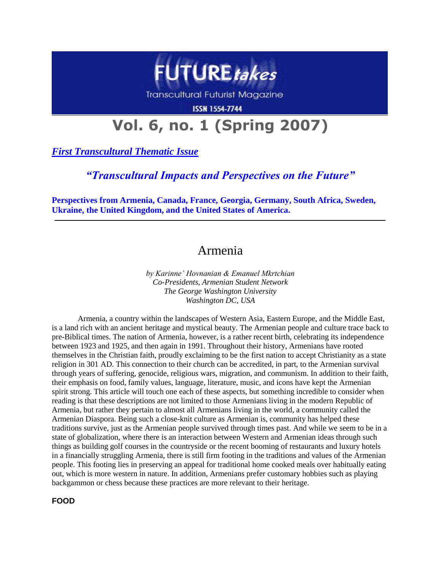

**Transcultural Futurist Magazine** 

**ISSN 1554-7744** 

# **Vol. 6, no. 1 (Spring 2007)**

*First Transcultural Thematic Issue*

## *"Transcultural Impacts and Perspectives on the Future"*

**Perspectives from Armenia, Canada, France, Georgia, Germany, South Africa, Sweden, Ukraine, the United Kingdom, and the United States of America.**

# Armenia

*by Karinne' Hovnanian & Emanuel Mkrtchian Co-Presidents, Armenian Student Network The George Washington University Washington DC, USA*

Armenia, a country within the landscapes of Western Asia, Eastern Europe, and the Middle East, is a land rich with an ancient heritage and mystical beauty. The Armenian people and culture trace back to pre-Biblical times. The nation of Armenia, however, is a rather recent birth, celebrating its independence between 1923 and 1925, and then again in 1991. Throughout their history, Armenians have rooted themselves in the Christian faith, proudly exclaiming to be the first nation to accept Christianity as a state religion in 301 AD. This connection to their church can be accredited, in part, to the Armenian survival through years of suffering, genocide, religious wars, migration, and communism. In addition to their faith, their emphasis on food, family values, language, literature, music, and icons have kept the Armenian spirit strong. This article will touch one each of these aspects, but something incredible to consider when reading is that these descriptions are not limited to those Armenians living in the modern Republic of Armenia, but rather they pertain to almost all Armenians living in the world, a community called the Armenian Diaspora. Being such a close-knit culture as Armenian is, community has helped these traditions survive, just as the Armenian people survived through times past. And while we seem to be in a state of globalization, where there is an interaction between Western and Armenian ideas through such things as building golf courses in the countryside or the recent booming of restaurants and luxury hotels in a financially struggling Armenia, there is still firm footing in the traditions and values of the Armenian people. This footing lies in preserving an appeal for traditional home cooked meals over habitually eating out, which is more western in nature. In addition, Armenians prefer customary hobbies such as playing backgammon or chess because these practices are more relevant to their heritage.

**FOOD**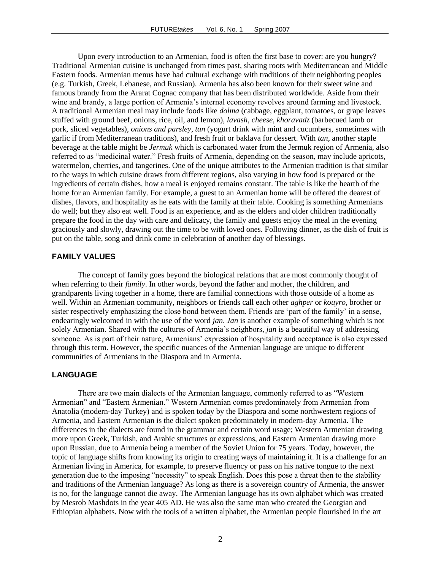Upon every introduction to an Armenian, food is often the first base to cover: are you hungry? Traditional Armenian cuisine is unchanged from times past, sharing roots with Mediterranean and Middle Eastern foods. Armenian menus have had cultural exchange with traditions of their neighboring peoples (e.g. Turkish, Greek, Lebanese, and Russian). Armenia has also been known for their sweet wine and famous brandy from the Ararat Cognac company that has been distributed worldwide. Aside from their wine and brandy, a large portion of Armenia's internal economy revolves around farming and livestock. A traditional Armenian meal may include foods like *dolma* (cabbage, eggplant, tomatoes, or grape leaves stuffed with ground beef, onions, rice, oil, and lemon), *lavash*, *cheese*, *khoravadz* (barbecued lamb or pork, sliced vegetables), *onions and parsley*, *tan* (yogurt drink with mint and cucumbers, sometimes with garlic if from Mediterranean traditions), and fresh fruit or baklava for dessert. With *tan*, another staple beverage at the table might be *Jermuk* which is carbonated water from the Jermuk region of Armenia, also referred to as "medicinal water." Fresh fruits of Armenia, depending on the season, may include apricots, watermelon, cherries, and tangerines. One of the unique attributes to the Armenian tradition is that similar to the ways in which cuisine draws from different regions, also varying in how food is prepared or the ingredients of certain dishes, how a meal is enjoyed remains constant. The table is like the hearth of the home for an Armenian family. For example, a guest to an Armenian home will be offered the dearest of dishes, flavors, and hospitality as he eats with the family at their table. Cooking is something Armenians do well; but they also eat well. Food is an experience, and as the elders and older children traditionally prepare the food in the day with care and delicacy, the family and guests enjoy the meal in the evening graciously and slowly, drawing out the time to be with loved ones. Following dinner, as the dish of fruit is put on the table, song and drink come in celebration of another day of blessings.

#### **FAMILY VALUES**

The concept of family goes beyond the biological relations that are most commonly thought of when referring to their *family*. In other words, beyond the father and mother, the children, and grandparents living together in a home, there are familial connections with those outside of a home as well. Within an Armenian community, neighbors or friends call each other *aghper* or *kouyro*, brother or sister respectively emphasizing the close bond between them. Friends are "part of the family" in a sense, endearingly welcomed in with the use of the word *jan*. *Jan* is another example of something which is not solely Armenian. Shared with the cultures of Armenia"s neighbors, *jan* is a beautiful way of addressing someone. As is part of their nature, Armenians' expression of hospitality and acceptance is also expressed through this term. However, the specific nuances of the Armenian language are unique to different communities of Armenians in the Diaspora and in Armenia.

#### **LANGUAGE**

There are two main dialects of the Armenian language, commonly referred to as "Western Armenian" and "Eastern Armenian." Western Armenian comes predominately from Armenian from Anatolia (modern-day Turkey) and is spoken today by the Diaspora and some northwestern regions of Armenia, and Eastern Armenian is the dialect spoken predominately in modern-day Armenia. The differences in the dialects are found in the grammar and certain word usage; Western Armenian drawing more upon Greek, Turkish, and Arabic structures or expressions, and Eastern Armenian drawing more upon Russian, due to Armenia being a member of the Soviet Union for 75 years. Today, however, the topic of language shifts from knowing its origin to creating ways of maintaining it. It is a challenge for an Armenian living in America, for example, to preserve fluency or pass on his native tongue to the next generation due to the imposing "necessity" to speak English. Does this pose a threat then to the stability and traditions of the Armenian language? As long as there is a sovereign country of Armenia, the answer is no, for the language cannot die away. The Armenian language has its own alphabet which was created by Mesrob Mashdots in the year 405 AD. He was also the same man who created the Georgian and Ethiopian alphabets. Now with the tools of a written alphabet, the Armenian people flourished in the art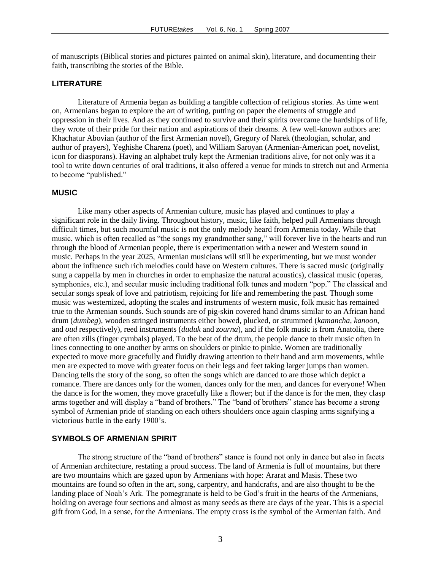of manuscripts (Biblical stories and pictures painted on animal skin), literature, and documenting their faith, transcribing the stories of the Bible.

### **LITERATURE**

Literature of Armenia began as building a tangible collection of religious stories. As time went on, Armenians began to explore the art of writing, putting on paper the elements of struggle and oppression in their lives. And as they continued to survive and their spirits overcame the hardships of life, they wrote of their pride for their nation and aspirations of their dreams. A few well-known authors are: Khachatur Abovian (author of the first Armenian novel), Gregory of Narek (theologian, scholar, and author of prayers), Yeghishe Charenz (poet), and William Saroyan (Armenian-American poet, novelist, icon for diasporans). Having an alphabet truly kept the Armenian traditions alive, for not only was it a tool to write down centuries of oral traditions, it also offered a venue for minds to stretch out and Armenia to become "published."

#### **MUSIC**

Like many other aspects of Armenian culture, music has played and continues to play a significant role in the daily living. Throughout history, music, like faith, helped pull Armenians through difficult times, but such mournful music is not the only melody heard from Armenia today. While that music, which is often recalled as "the songs my grandmother sang," will forever live in the hearts and run through the blood of Armenian people, there is experimentation with a newer and Western sound in music. Perhaps in the year 2025, Armenian musicians will still be experimenting, but we must wonder about the influence such rich melodies could have on Western cultures. There is sacred music (originally sung a cappella by men in churches in order to emphasize the natural acoustics), classical music (operas, symphonies, etc.), and secular music including traditional folk tunes and modern "pop." The classical and secular songs speak of love and patriotism, rejoicing for life and remembering the past. Though some music was westernized, adopting the scales and instruments of western music, folk music has remained true to the Armenian sounds. Such sounds are of pig-skin covered hand drums similar to an African hand drum (*dumbeg*), wooden stringed instruments either bowed, plucked, or strummed (*kamancha*, *kanoon*, and *oud* respectively), reed instruments (*duduk* and *zourna*), and if the folk music is from Anatolia, there are often zills (finger cymbals) played. To the beat of the drum, the people dance to their music often in lines connecting to one another by arms on shoulders or pinkie to pinkie. Women are traditionally expected to move more gracefully and fluidly drawing attention to their hand and arm movements, while men are expected to move with greater focus on their legs and feet taking larger jumps than women. Dancing tells the story of the song, so often the songs which are danced to are those which depict a romance. There are dances only for the women, dances only for the men, and dances for everyone! When the dance is for the women, they move gracefully like a flower; but if the dance is for the men, they clasp arms together and will display a "band of brothers." The "band of brothers" stance has become a strong symbol of Armenian pride of standing on each others shoulders once again clasping arms signifying a victorious battle in the early 1900"s.

#### **SYMBOLS OF ARMENIAN SPIRIT**

The strong structure of the "band of brothers" stance is found not only in dance but also in facets of Armenian architecture, restating a proud success. The land of Armenia is full of mountains, but there are two mountains which are gazed upon by Armenians with hope: Ararat and Masis. These two mountains are found so often in the art, song, carpentry, and handcrafts, and are also thought to be the landing place of Noah's Ark. The pomegranate is held to be God's fruit in the hearts of the Armenians, holding on average four sections and almost as many seeds as there are days of the year. This is a special gift from God, in a sense, for the Armenians. The empty cross is the symbol of the Armenian faith. And